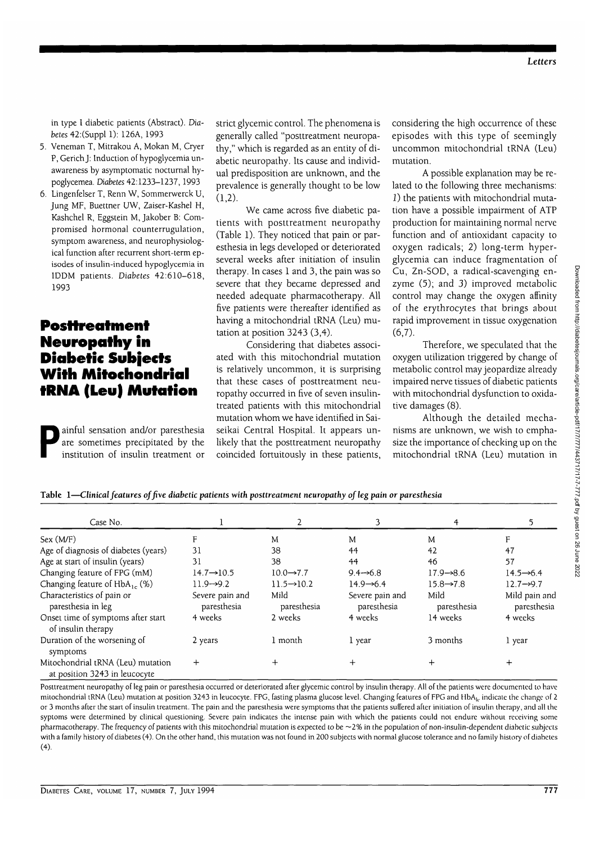in type 1 diabetic patients (Abstract). *Diabetes* 42:(Suppl 1): 126A, 1993

- 5. Veneman T, Mitrakou A, Mokan M, Cryer P, GerichJ: Induction of hypoglycemia unawareness by asymptomatic nocturnal hypoglycemea. Diabetes 42:1233-1237,1993
- 6. Lingenfelser T, Renn W, Sommerwerck U, Jung MF, Buettner UW, Zaiser-Kashel H, Kashchel R, Eggstein M, Jakober B: Compromised hormonal counterrugulation, symptom awareness, and neurophysiological function after recurrent short-term episodes of insulin-induced hypoglycemia in 1DDM patients. *Diabetes* 42:610-618, 1993

## **Posttreatment Neuropathy in Diabetic Subjects With Mitochondrial tRNA (Leu) Mutation**

ainful sensation and/or paresthesia<br>are sometimes precipitated by the<br>institution of insulin treatment or are sometimes precipitated by the institution of insulin treatment or strict glycemic control. The phenomena is generally called "posttreatment neuropathy," which is regarded as an entity of diabetic neuropathy. Its cause and individual predisposition are unknown, and the prevalence is generally thought to be low  $(1,2)$ .

We came across five diabetic patients with posttreatment neuropathy (Table 1). They noticed that pain or paresthesia in legs developed or deteriorated several weeks after initiation of insulin therapy. In cases 1 and 3, the pain was so severe that they became depressed and needed adequate pharmacotherapy. All five patients were thereafter identified as having a mitochondrial tRNA (Leu) mutation at position 3243 (3,4).

Considering that diabetes associated with this mitochondrial mutation is relatively uncommon, it is surprising that these cases of posttreatment neuropathy occurred in five of seven insulintreated patients with this mitochondrial mutation whom we have identified in Saiseikai Central Hospital. It appears unlikely that the posttreatment neuropathy coincided fortuitously in these patients, considering the high occurrence of these episodes with this type of seemingly uncommon mitochondrial tRNA (Leu) mutation.

A possible explanation may be related to the following three mechanisms: 1) the patients with mitochondrial mutation have a possible impairment of ATP production for maintaining normal nerve function and of antioxidant capacity to oxygen radicals; 2) long-term hyperglycemia can induce fragmentation of Cu, Zn-SOD, a radical-scavenging enzyme (5); and 3) improved metabolic control may change the oxygen affinity of the erythrocytes that brings about rapid improvement in tissue oxygenation  $(6,7)$ .

Therefore, we speculated that the oxygen utilization triggered by change of metabolic control may jeopardize already impaired nerve tissues of diabetic patients with mitochondrial dysfunction to oxidative damages (8).

Although the detailed mechanisms are unknown, we wish to emphasize the importance of checking up on the mitochondrial tRNA (Leu) mutation in

|  |  | Table 1—Clinical features of five diabetic patients with posttreatment neuropathy of leg pain or paresthesia |  |  |
|--|--|--------------------------------------------------------------------------------------------------------------|--|--|
|  |  |                                                                                                              |  |  |

| Case No.                                                           |                                |                         |                                | 4                      |                              |
|--------------------------------------------------------------------|--------------------------------|-------------------------|--------------------------------|------------------------|------------------------------|
| Sex (M/F)                                                          | F                              | M                       | M                              | M                      | F                            |
| Age of diagnosis of diabetes (years)                               | 31                             | 38                      | 44                             | 42                     | 47                           |
| Age at start of insulin (years)                                    | 31                             | 38                      | 44                             | 46                     | 57                           |
| Changing feature of FPG (mM)                                       | $14.7 \rightarrow 10.5$        | $10.0 \rightarrow 7.7$  | $9.4 \rightarrow 6.8$          | $17.9 \rightarrow 8.6$ | $14.5 \rightarrow 6.4$       |
| Changing feature of $HbA_{1c}$ (%)                                 | $11.9 - 9.2$                   | $11.5 \rightarrow 10.2$ | $14.9 \rightarrow 6.4$         | $15.8 \rightarrow 7.8$ | $12.7 \rightarrow 9.7$       |
| Characteristics of pain or<br>paresthesia in leg                   | Severe pain and<br>paresthesia | Mild<br>paresthesia     | Severe pain and<br>paresthesia | Mild<br>paresthesia    | Mild pain and<br>paresthesia |
| Onset time of symptoms after start<br>of insulin therapy           | 4 weeks                        | 2 weeks                 | 4 weeks                        | 14 weeks               | 4 weeks                      |
| Duration of the worsening of<br>symptoms                           | 2 years                        | 1 month                 | l year                         | 3 months               | 1 year                       |
| Mitochondrial tRNA (Leu) mutation<br>at position 3243 in leucocyte | $^{+}$                         |                         | $\,+\,$                        |                        | $\div$                       |

Posttreatment neuropathy of leg pain or paresthesia occurred or deteriorated after glycemic control by insulin therapy. All of the patients were documented to have mitochondrial tRNA (Leu) mutation at position 3243 in leucocyte. FPG, fasting plasma glucose level. Changing features of FPG and HbA<sub>l</sub>, indicate the change of 2 or 3 months after the start of insulin treatment. The pain and the paresthesia were symptoms that the patients suffered after initiation of insulin therapy, and all the syptoms were determined by clinical questioning. Severe pain indicates the intense pain with which the patients could not endure without receiving some pharmacotherapy. The frequency of patients with this mitochondrial mutation is expected to be ~2% in the population of non-insulin-dependent diabetic subjects with a family history of diabetes (4). On the other hand, this mutation was not found in 200 subjects with normal glucose tolerance and no family history of diabetes (4).